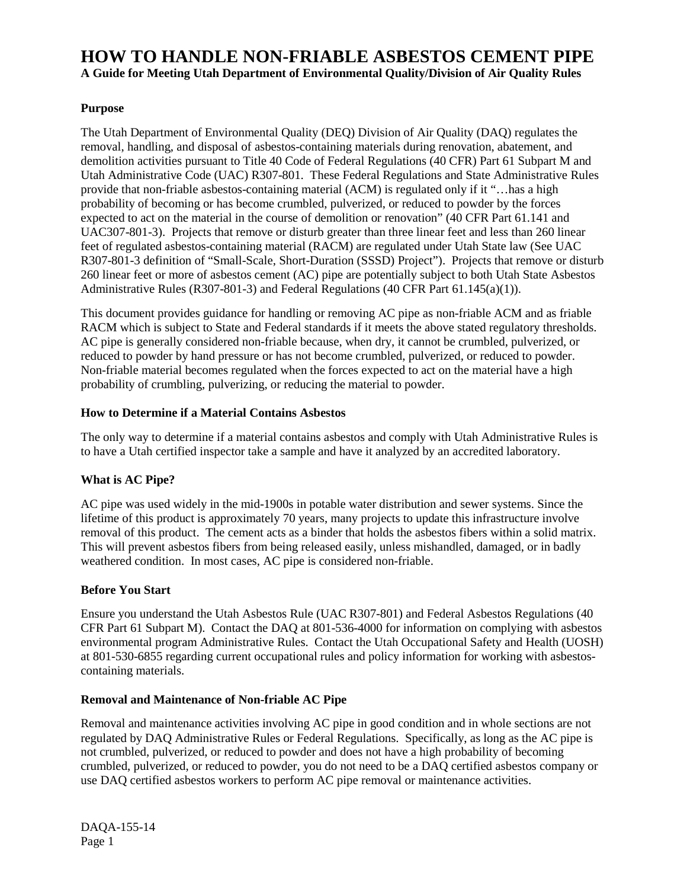# **HOW TO HANDLE NON-FRIABLE ASBESTOS CEMENT PIPE A Guide for Meeting Utah Department of Environmental Quality/Division of Air Quality Rules**

# **Purpose**

The Utah Department of Environmental Quality (DEQ) Division of Air Quality (DAQ) regulates the removal, handling, and disposal of asbestos-containing materials during renovation, abatement, and demolition activities pursuant to Title 40 Code of Federal Regulations (40 CFR) Part 61 Subpart M and Utah Administrative Code (UAC) R307-801. These Federal Regulations and State Administrative Rules provide that non-friable asbestos-containing material (ACM) is regulated only if it "…has a high probability of becoming or has become crumbled, pulverized, or reduced to powder by the forces expected to act on the material in the course of demolition or renovation" (40 CFR Part 61.141 and UAC307-801-3). Projects that remove or disturb greater than three linear feet and less than 260 linear feet of regulated asbestos-containing material (RACM) are regulated under Utah State law (See UAC R307-801-3 definition of "Small-Scale, Short-Duration (SSSD) Project"). Projects that remove or disturb 260 linear feet or more of asbestos cement (AC) pipe are potentially subject to both Utah State Asbestos Administrative Rules (R307-801-3) and Federal Regulations (40 CFR Part 61.145(a)(1)).

This document provides guidance for handling or removing AC pipe as non-friable ACM and as friable RACM which is subject to State and Federal standards if it meets the above stated regulatory thresholds. AC pipe is generally considered non-friable because, when dry, it cannot be crumbled, pulverized, or reduced to powder by hand pressure or has not become crumbled, pulverized, or reduced to powder. Non-friable material becomes regulated when the forces expected to act on the material have a high probability of crumbling, pulverizing, or reducing the material to powder.

## **How to Determine if a Material Contains Asbestos**

The only way to determine if a material contains asbestos and comply with Utah Administrative Rules is to have a Utah certified inspector take a sample and have it analyzed by an accredited laboratory.

# **What is AC Pipe?**

AC pipe was used widely in the mid-1900s in potable water distribution and sewer systems. Since the lifetime of this product is approximately 70 years, many projects to update this infrastructure involve removal of this product. The cement acts as a binder that holds the asbestos fibers within a solid matrix. This will prevent asbestos fibers from being released easily, unless mishandled, damaged, or in badly weathered condition. In most cases, AC pipe is considered non-friable.

# **Before You Start**

Ensure you understand the Utah Asbestos Rule (UAC R307-801) and Federal Asbestos Regulations (40 CFR Part 61 Subpart M). Contact the DAQ at 801-536-4000 for information on complying with asbestos environmental program Administrative Rules. Contact the Utah Occupational Safety and Health (UOSH) at 801-530-6855 regarding current occupational rules and policy information for working with asbestoscontaining materials.

## **Removal and Maintenance of Non-friable AC Pipe**

Removal and maintenance activities involving AC pipe in good condition and in whole sections are not regulated by DAQ Administrative Rules or Federal Regulations. Specifically, as long as the AC pipe is not crumbled, pulverized, or reduced to powder and does not have a high probability of becoming crumbled, pulverized, or reduced to powder, you do not need to be a DAQ certified asbestos company or use DAQ certified asbestos workers to perform AC pipe removal or maintenance activities.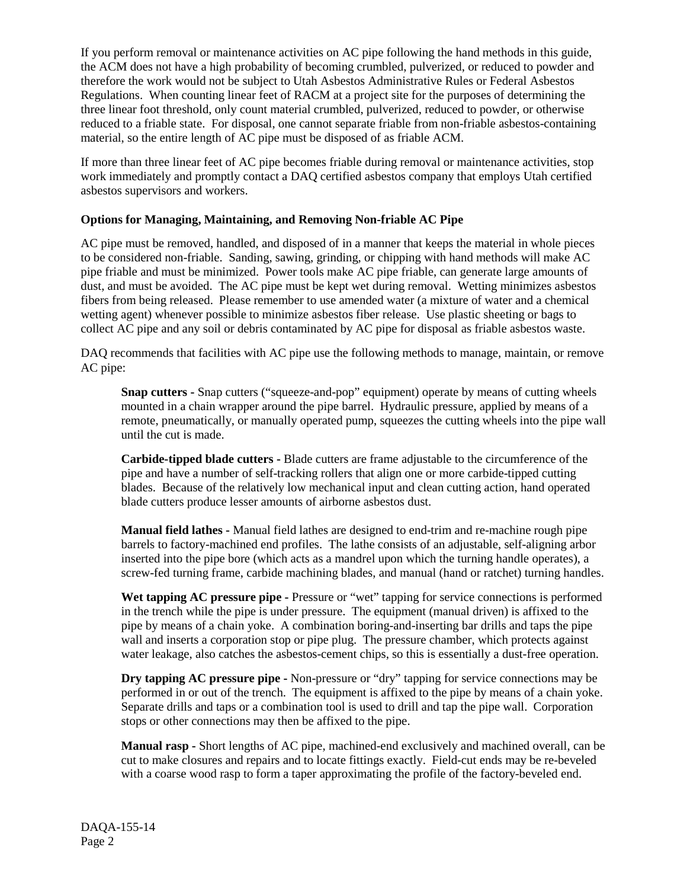If you perform removal or maintenance activities on AC pipe following the hand methods in this guide, the ACM does not have a high probability of becoming crumbled, pulverized, or reduced to powder and therefore the work would not be subject to Utah Asbestos Administrative Rules or Federal Asbestos Regulations. When counting linear feet of RACM at a project site for the purposes of determining the three linear foot threshold, only count material crumbled, pulverized, reduced to powder, or otherwise reduced to a friable state. For disposal, one cannot separate friable from non-friable asbestos-containing material, so the entire length of AC pipe must be disposed of as friable ACM.

If more than three linear feet of AC pipe becomes friable during removal or maintenance activities, stop work immediately and promptly contact a DAQ certified asbestos company that employs Utah certified asbestos supervisors and workers.

## **Options for Managing, Maintaining, and Removing Non-friable AC Pipe**

AC pipe must be removed, handled, and disposed of in a manner that keeps the material in whole pieces to be considered non-friable. Sanding, sawing, grinding, or chipping with hand methods will make AC pipe friable and must be minimized. Power tools make AC pipe friable, can generate large amounts of dust, and must be avoided. The AC pipe must be kept wet during removal. Wetting minimizes asbestos fibers from being released. Please remember to use amended water (a mixture of water and a chemical wetting agent) whenever possible to minimize asbestos fiber release. Use plastic sheeting or bags to collect AC pipe and any soil or debris contaminated by AC pipe for disposal as friable asbestos waste.

DAQ recommends that facilities with AC pipe use the following methods to manage, maintain, or remove AC pipe:

**Snap cutters -** Snap cutters ("squeeze-and-pop" equipment) operate by means of cutting wheels mounted in a chain wrapper around the pipe barrel. Hydraulic pressure, applied by means of a remote, pneumatically, or manually operated pump, squeezes the cutting wheels into the pipe wall until the cut is made.

**Carbide-tipped blade cutters -** Blade cutters are frame adjustable to the circumference of the pipe and have a number of self-tracking rollers that align one or more carbide-tipped cutting blades. Because of the relatively low mechanical input and clean cutting action, hand operated blade cutters produce lesser amounts of airborne asbestos dust.

**Manual field lathes -** Manual field lathes are designed to end-trim and re-machine rough pipe barrels to factory-machined end profiles. The lathe consists of an adjustable, self-aligning arbor inserted into the pipe bore (which acts as a mandrel upon which the turning handle operates), a screw-fed turning frame, carbide machining blades, and manual (hand or ratchet) turning handles.

**Wet tapping AC pressure pipe -** Pressure or "wet" tapping for service connections is performed in the trench while the pipe is under pressure. The equipment (manual driven) is affixed to the pipe by means of a chain yoke. A combination boring-and-inserting bar drills and taps the pipe wall and inserts a corporation stop or pipe plug. The pressure chamber, which protects against water leakage, also catches the asbestos-cement chips, so this is essentially a dust-free operation.

**Dry tapping AC pressure pipe -** Non-pressure or "dry" tapping for service connections may be performed in or out of the trench. The equipment is affixed to the pipe by means of a chain yoke. Separate drills and taps or a combination tool is used to drill and tap the pipe wall. Corporation stops or other connections may then be affixed to the pipe.

**Manual rasp -** Short lengths of AC pipe, machined-end exclusively and machined overall, can be cut to make closures and repairs and to locate fittings exactly. Field-cut ends may be re-beveled with a coarse wood rasp to form a taper approximating the profile of the factory-beveled end.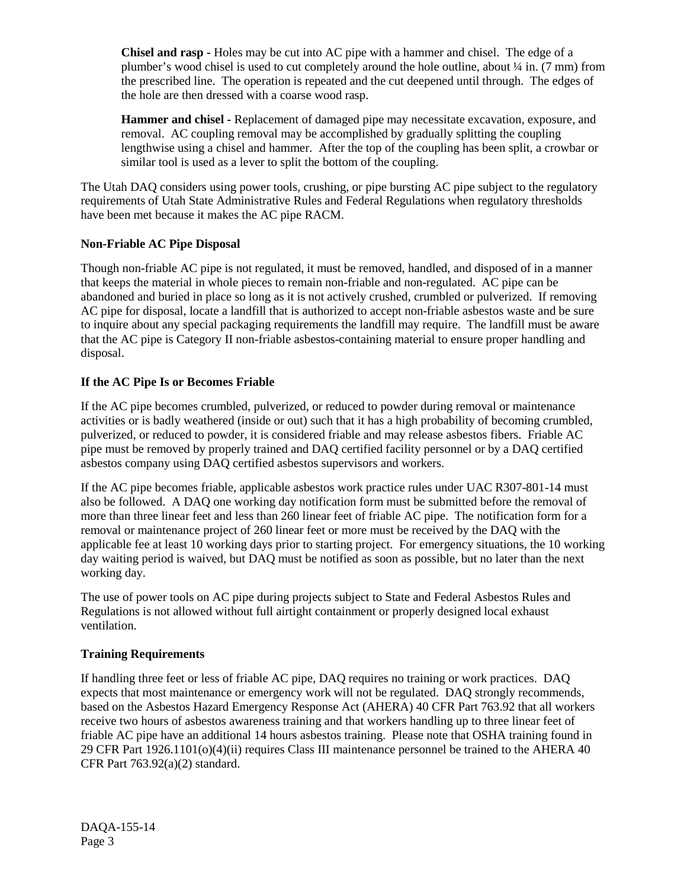**Chisel and rasp -** Holes may be cut into AC pipe with a hammer and chisel. The edge of a plumber's wood chisel is used to cut completely around the hole outline, about  $\frac{1}{4}$  in. (7 mm) from the prescribed line. The operation is repeated and the cut deepened until through. The edges of the hole are then dressed with a coarse wood rasp.

**Hammer and chisel -** Replacement of damaged pipe may necessitate excavation, exposure, and removal. AC coupling removal may be accomplished by gradually splitting the coupling lengthwise using a chisel and hammer. After the top of the coupling has been split, a crowbar or similar tool is used as a lever to split the bottom of the coupling.

The Utah DAQ considers using power tools, crushing, or pipe bursting AC pipe subject to the regulatory requirements of Utah State Administrative Rules and Federal Regulations when regulatory thresholds have been met because it makes the AC pipe RACM.

# **Non-Friable AC Pipe Disposal**

Though non-friable AC pipe is not regulated, it must be removed, handled, and disposed of in a manner that keeps the material in whole pieces to remain non-friable and non-regulated. AC pipe can be abandoned and buried in place so long as it is not actively crushed, crumbled or pulverized. If removing AC pipe for disposal, locate a landfill that is authorized to accept non-friable asbestos waste and be sure to inquire about any special packaging requirements the landfill may require. The landfill must be aware that the AC pipe is Category II non-friable asbestos-containing material to ensure proper handling and disposal.

## **If the AC Pipe Is or Becomes Friable**

If the AC pipe becomes crumbled, pulverized, or reduced to powder during removal or maintenance activities or is badly weathered (inside or out) such that it has a high probability of becoming crumbled, pulverized, or reduced to powder, it is considered friable and may release asbestos fibers. Friable AC pipe must be removed by properly trained and DAQ certified facility personnel or by a DAQ certified asbestos company using DAQ certified asbestos supervisors and workers.

If the AC pipe becomes friable, applicable asbestos work practice rules under UAC R307-801-14 must also be followed. A DAQ one working day notification form must be submitted before the removal of more than three linear feet and less than 260 linear feet of friable AC pipe. The notification form for a removal or maintenance project of 260 linear feet or more must be received by the DAQ with the applicable fee at least 10 working days prior to starting project. For emergency situations, the 10 working day waiting period is waived, but DAQ must be notified as soon as possible, but no later than the next working day.

The use of power tools on AC pipe during projects subject to State and Federal Asbestos Rules and Regulations is not allowed without full airtight containment or properly designed local exhaust ventilation.

#### **Training Requirements**

If handling three feet or less of friable AC pipe, DAQ requires no training or work practices. DAQ expects that most maintenance or emergency work will not be regulated. DAQ strongly recommends, based on the Asbestos Hazard Emergency Response Act (AHERA) 40 CFR Part 763.92 that all workers receive two hours of asbestos awareness training and that workers handling up to three linear feet of friable AC pipe have an additional 14 hours asbestos training. Please note that OSHA training found in 29 CFR Part 1926.1101(o)(4)(ii) requires Class III maintenance personnel be trained to the AHERA 40 CFR Part 763.92(a)(2) standard.